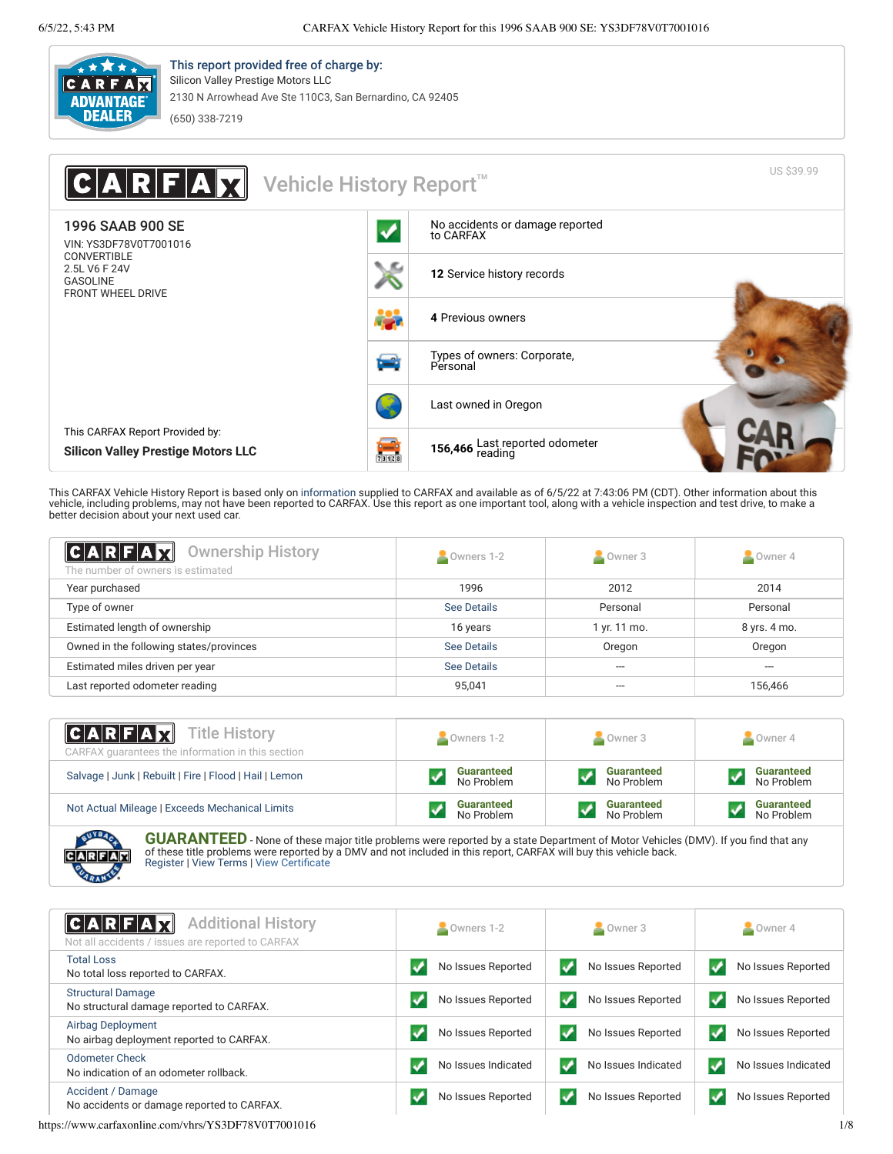

This report provided free of charge by: Silicon Valley Prestige Motors LLC 2130 N Arrowhead Ave Ste 110C3, San Bernardino, CA 92405 (650) 338-7219

| A R F A Y <br>Vehicle History Report <sup>™</sup>                                  |      |                                              | US \$39.99 |
|------------------------------------------------------------------------------------|------|----------------------------------------------|------------|
| 1996 SAAB 900 SE<br>VIN: YS3DF78V0T7001016                                         |      | No accidents or damage reported<br>to CARFAX |            |
| <b>CONVERTIBLE</b><br>2.5L V6 F 24V<br><b>GASOLINE</b><br><b>FRONT WHEEL DRIVE</b> | ڪ    | 12 Service history records                   |            |
|                                                                                    |      | 4 Previous owners                            |            |
|                                                                                    | زكرا | Types of owners: Corporate,<br>Personal      |            |
|                                                                                    |      | Last owned in Oregon                         |            |
| This CARFAX Report Provided by:<br><b>Silicon Valley Prestige Motors LLC</b>       |      | 156,466 Last reported odometer<br>reading    |            |

This CARFAX Vehicle History Report is based only on [information](http://www.carfax.com/company/vhr-data-sources) supplied to CARFAX and available as of 6/5/22 at 7:43:06 PM (CDT). Other information about this<br>vehicle, including problems, may not have been reported to CAR better decision about your next used car.

<span id="page-0-1"></span>

| <b>CARFAX</b><br><b>Ownership History</b><br>The number of owners is estimated | Owners 1-2  | Owner 3      | Owner 4      |
|--------------------------------------------------------------------------------|-------------|--------------|--------------|
| Year purchased                                                                 | 1996        | 2012         | 2014         |
| Type of owner                                                                  | See Details | Personal     | Personal     |
| Estimated length of ownership                                                  | 16 years    | 1 yr. 11 mo. | 8 yrs. 4 mo. |
| Owned in the following states/provinces                                        | See Details | Oregon       | Oregon       |
| Estimated miles driven per year                                                | See Details | ---          | ---          |
| Last reported odometer reading                                                 | 95.041      |              | 156,466      |

| <b>CARFAX</b> Title History<br>CARFAX quarantees the information in this section | Owners 1-2        | Owner 3           | Owner 4           |
|----------------------------------------------------------------------------------|-------------------|-------------------|-------------------|
| Salvage   Junk   Rebuilt   Fire   Flood   Hail   Lemon                           | <b>Guaranteed</b> | <b>Guaranteed</b> | <b>Guaranteed</b> |
|                                                                                  | No Problem        | No Problem        | No Problem        |
| Not Actual Mileage   Exceeds Mechanical Limits                                   | <b>Guaranteed</b> | <b>Guaranteed</b> | <b>Guaranteed</b> |
|                                                                                  | No Problem        | No Problem        | No Problem        |
| __                                                                               |                   |                   |                   |

**GUARANTEED** - None of these major title problems were reported by a state Department of Motor Vehicles (DMV). If you find that any<br>of these title problems were reported by a DMV and not included in this report, CARFAX wil

<span id="page-0-0"></span>

| <b>Additional History</b><br> C A R F A M<br>Not all accidents / issues are reported to CARFAX | Owners 1-2          | Owner 3             | $\sim$ Owner 4      |
|------------------------------------------------------------------------------------------------|---------------------|---------------------|---------------------|
| <b>Total Loss</b>                                                                              | No Issues Reported  | No Issues Reported  | No Issues Reported  |
| No total loss reported to CARFAX.                                                              |                     | v                   | v                   |
| <b>Structural Damage</b>                                                                       | No Issues Reported  | V                   | v                   |
| No structural damage reported to CARFAX.                                                       |                     | No Issues Reported  | No Issues Reported  |
| <b>Airbag Deployment</b>                                                                       | No Issues Reported  | V                   | No Issues Reported  |
| No airbag deployment reported to CARFAX.                                                       |                     | No Issues Reported  | ✓                   |
| <b>Odometer Check</b>                                                                          | No Issues Indicated | V                   | No Issues Indicated |
| No indication of an odometer rollback.                                                         |                     | No Issues Indicated | ✓                   |
| Accident / Damage                                                                              | No Issues Reported  | ✓                   | ✓                   |
| No accidents or damage reported to CARFAX.                                                     |                     | No Issues Reported  | No Issues Reported  |
| https://www.carfaxonline.com/vhrs/YS3DF78V0T7001016                                            |                     |                     | 1/8                 |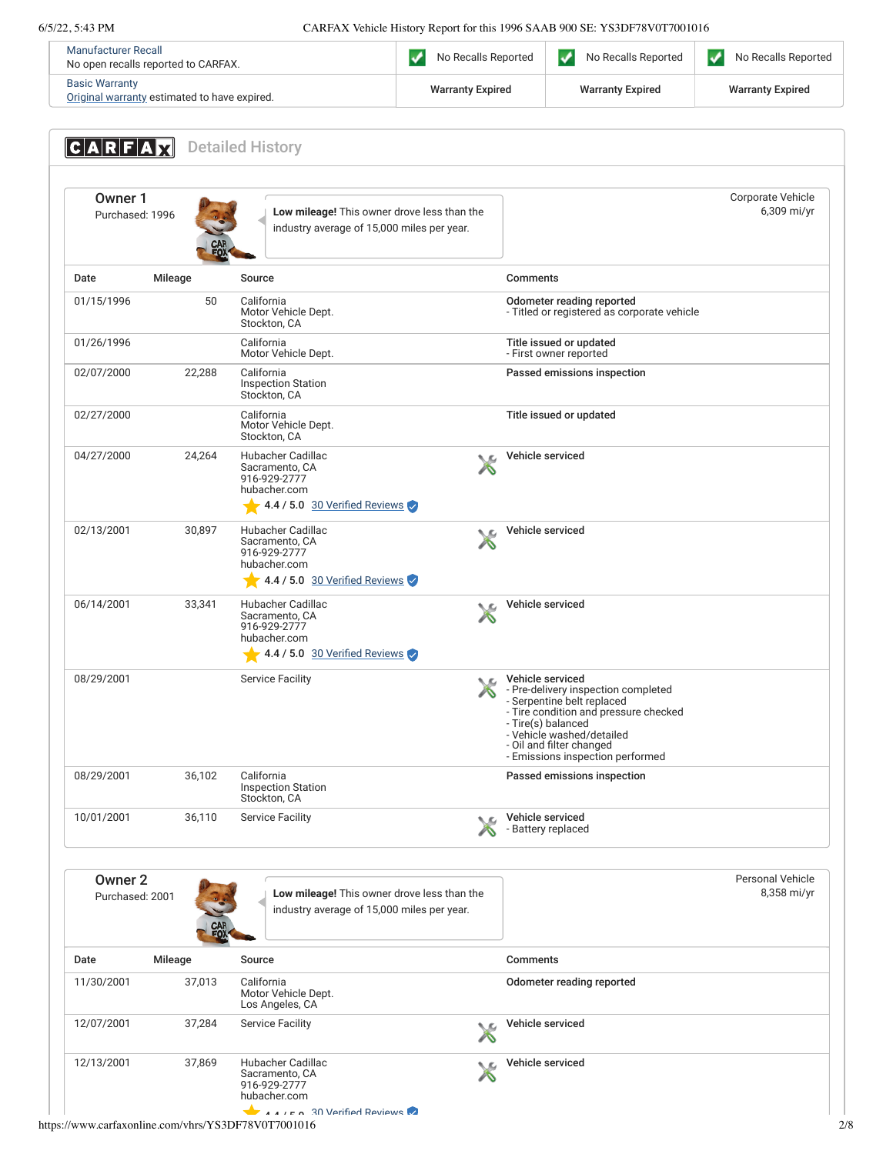| Manufacturer Recall<br>No open recalls reported to CARFAX.            | No Recalls Reported     | No Recalls Reported     | No Recalls Reported     |
|-----------------------------------------------------------------------|-------------------------|-------------------------|-------------------------|
| <b>Basic Warranty</b><br>Original warranty estimated to have expired. | <b>Warranty Expired</b> | <b>Warranty Expired</b> | <b>Warranty Expired</b> |

<span id="page-1-1"></span><span id="page-1-0"></span>

| Owner 1<br>Purchased: 1996            |         |        | Low mileage! This owner drove less than the<br>industry average of 15,000 miles per year.                   |         | Corporate Vehicle<br>6,309 mi/yr                                                                                                                                                                                                                  |
|---------------------------------------|---------|--------|-------------------------------------------------------------------------------------------------------------|---------|---------------------------------------------------------------------------------------------------------------------------------------------------------------------------------------------------------------------------------------------------|
| Date                                  | Mileage |        | Source                                                                                                      |         | Comments                                                                                                                                                                                                                                          |
| 01/15/1996                            |         | 50     | California<br>Motor Vehicle Dept.<br>Stockton, CA                                                           |         | Odometer reading reported<br>- Titled or registered as corporate vehicle                                                                                                                                                                          |
| 01/26/1996                            |         |        | California<br>Motor Vehicle Dept.                                                                           |         | Title issued or updated<br>- First owner reported                                                                                                                                                                                                 |
| 02/07/2000                            |         | 22,288 | California<br><b>Inspection Station</b><br>Stockton, CA                                                     |         | Passed emissions inspection                                                                                                                                                                                                                       |
| 02/27/2000                            |         |        | California<br>Motor Vehicle Dept.<br>Stockton, CA                                                           |         | Title issued or updated                                                                                                                                                                                                                           |
| 04/27/2000                            |         | 24,264 | Hubacher Cadillac<br>Sacramento, CA<br>916-929-2777<br>hubacher.com<br>4.4 / 5.0 30 Verified Reviews        |         | Vehicle serviced                                                                                                                                                                                                                                  |
| 02/13/2001                            |         | 30,897 | Hubacher Cadillac<br>Sacramento, CA<br>916-929-2777<br>hubacher.com<br>$\sim$ 4.4 / 5.0 30 Verified Reviews | ↖       | Vehicle serviced                                                                                                                                                                                                                                  |
| 06/14/2001                            |         | 33,341 | Hubacher Cadillac<br>Sacramento, CA<br>916-929-2777<br>hubacher.com<br>4.4 / 5.0 30 Verified Reviews        | ╰<br>∕∿ | Vehicle serviced                                                                                                                                                                                                                                  |
| 08/29/2001                            |         |        | <b>Service Facility</b>                                                                                     | ◟       | Vehicle serviced<br>- Pre-delivery inspection completed<br>- Serpentine belt replaced<br>- Tire condition and pressure checked<br>- Tire(s) balanced<br>- Vehicle washed/detailed<br>- Oil and filter changed<br>- Emissions inspection performed |
| 08/29/2001                            |         | 36,102 | California<br><b>Inspection Station</b><br>Stockton, CA                                                     |         | Passed emissions inspection                                                                                                                                                                                                                       |
| 10/01/2001                            |         | 36,110 | <b>Service Facility</b>                                                                                     |         | Vehicle serviced<br>- Battery replaced                                                                                                                                                                                                            |
| Owner <sub>2</sub><br>Purchased: 2001 |         |        | Low mileage! This owner drove less than the<br>industry average of 15,000 miles per year.                   |         | Personal Vehicle<br>8,358 mi/yr                                                                                                                                                                                                                   |
| Date                                  | Mileage |        | Source                                                                                                      |         | <b>Comments</b>                                                                                                                                                                                                                                   |
| 11/30/2001                            |         | 37,013 | California<br>Motor Vehicle Dept.<br>Los Angeles, CA                                                        |         | Odometer reading reported                                                                                                                                                                                                                         |
| 12/07/2001                            |         | 37,284 | <b>Service Facility</b>                                                                                     | ∕∖      | Vehicle serviced                                                                                                                                                                                                                                  |
| 12/13/2001                            |         | 37,869 | Hubacher Cadillac<br>Sacramento, CA<br>916-929-2777                                                         |         | Vehicle serviced                                                                                                                                                                                                                                  |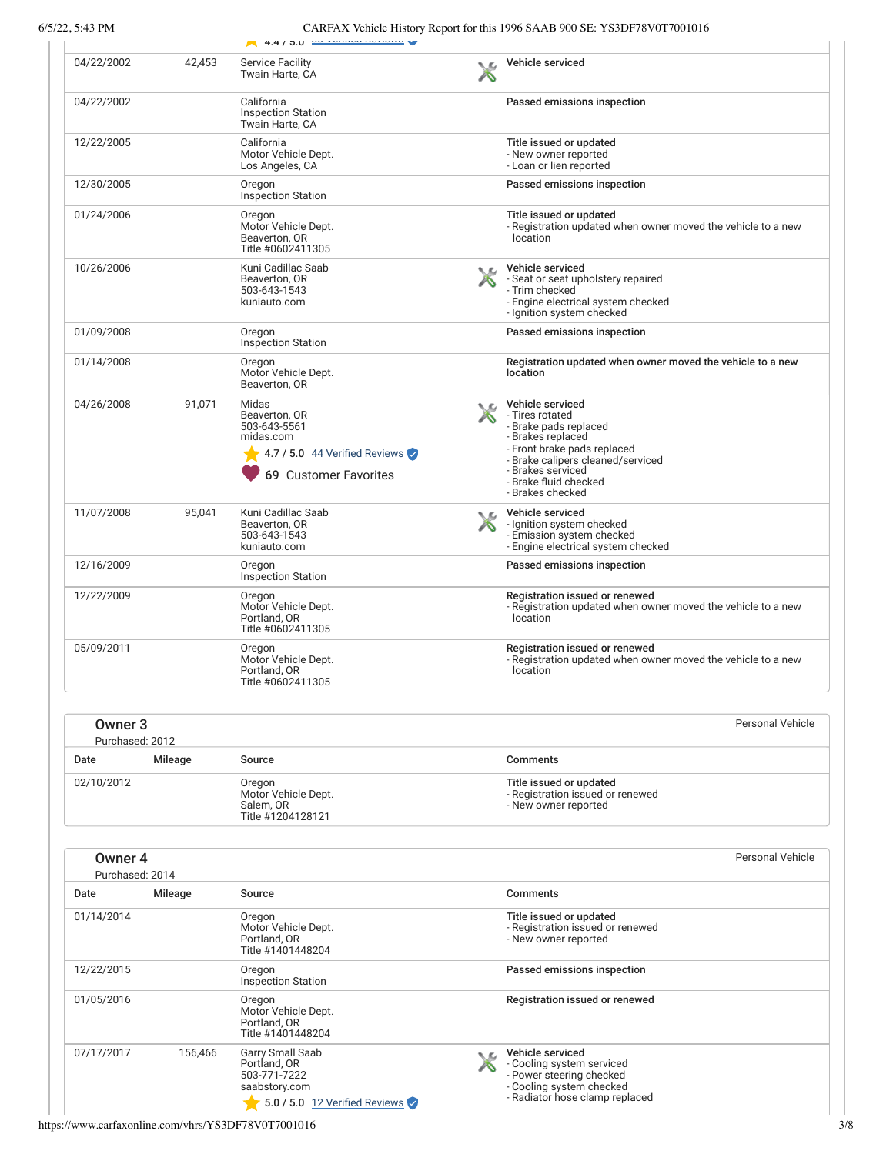|                                       |         | $-4.4/5.0 \times 10^{10}$                                                                                       |     |                                                                                                                                                                                                                         |
|---------------------------------------|---------|-----------------------------------------------------------------------------------------------------------------|-----|-------------------------------------------------------------------------------------------------------------------------------------------------------------------------------------------------------------------------|
| 04/22/2002                            | 42,453  | <b>Service Facility</b><br>Twain Harte, CA                                                                      |     | Vehicle serviced                                                                                                                                                                                                        |
| 04/22/2002                            |         | California<br><b>Inspection Station</b><br>Twain Harte, CA                                                      |     | Passed emissions inspection                                                                                                                                                                                             |
| 12/22/2005                            |         | California<br>Motor Vehicle Dept.<br>Los Angeles, CA                                                            |     | Title issued or updated<br>- New owner reported<br>- Loan or lien reported                                                                                                                                              |
| 12/30/2005                            |         | Oregon<br><b>Inspection Station</b>                                                                             |     | Passed emissions inspection                                                                                                                                                                                             |
| 01/24/2006                            |         | Oregon<br>Motor Vehicle Dept.<br>Beaverton, OR<br>Title #0602411305                                             |     | Title issued or updated<br>- Registration updated when owner moved the vehicle to a new<br>location                                                                                                                     |
| 10/26/2006                            |         | Kuni Cadillac Saab<br>Beaverton, OR<br>503-643-1543<br>kuniauto.com                                             |     | Vehicle serviced<br>- Seat or seat upholstery repaired<br>- Trim checked<br>- Engine electrical system checked<br>- Ignition system checked                                                                             |
| 01/09/2008                            |         | Oregon<br><b>Inspection Station</b>                                                                             |     | Passed emissions inspection                                                                                                                                                                                             |
| 01/14/2008                            |         | Oregon<br>Motor Vehicle Dept.<br>Beaverton, OR                                                                  |     | Registration updated when owner moved the vehicle to a new<br>location                                                                                                                                                  |
| 04/26/2008                            | 91,071  | Midas<br>Beaverton, OR<br>503-643-5561<br>midas.com<br>4.7 / 5.0 $44$ Verified Reviews<br>69 Customer Favorites | NΩ  | Vehicle serviced<br>- Tires rotated<br>- Brake pads replaced<br>- Brakes replaced<br>- Front brake pads replaced<br>- Brake calipers cleaned/serviced<br>- Brakes serviced<br>- Brake fluid checked<br>- Brakes checked |
| 11/07/2008                            | 95,041  | Kuni Cadillac Saab<br>Beaverton, OR<br>503-643-1543<br>kuniauto.com                                             | NG. | Vehicle serviced<br>- Ignition system checked<br>- Emission system checked<br>- Engine electrical system checked                                                                                                        |
| 12/16/2009                            |         | Oregon<br><b>Inspection Station</b>                                                                             |     | Passed emissions inspection                                                                                                                                                                                             |
| 12/22/2009                            |         | Oregon<br>Motor Vehicle Dept.<br>Portland, OR<br>Title #0602411305                                              |     | Registration issued or renewed<br>- Registration updated when owner moved the vehicle to a new<br>location                                                                                                              |
| 05/09/2011                            |         | Oregon<br>Motor Vehicle Dept.<br>Portland, OR<br>Title #0602411305                                              |     | Registration issued or renewed<br>- Registration updated when owner moved the vehicle to a new<br>location                                                                                                              |
| Owner <sub>3</sub><br>Purchased: 2012 |         |                                                                                                                 |     | <b>Personal Vehicle</b>                                                                                                                                                                                                 |
| Date                                  | Mileage | Source                                                                                                          |     | <b>Comments</b>                                                                                                                                                                                                         |
| 02/10/2012                            |         | Oregon<br>Motor Vehicle Dept.<br>Salem, OR<br>Title #1204128121                                                 |     | Title issued or updated<br>- Registration issued or renewed<br>- New owner reported                                                                                                                                     |
| Owner 4<br>Purchased: 2014            |         |                                                                                                                 |     | <b>Personal Vehicle</b>                                                                                                                                                                                                 |
| Date                                  | Mileage | Source                                                                                                          |     | <b>Comments</b>                                                                                                                                                                                                         |
| 01/14/2014                            |         | Oregon<br>Motor Vehicle Dept.<br>Portland, OR<br>Title #1401448204                                              |     | Title issued or updated<br>- Registration issued or renewed<br>- New owner reported                                                                                                                                     |
| 12/22/2015                            |         | Oregon<br><b>Inspection Station</b>                                                                             |     | Passed emissions inspection                                                                                                                                                                                             |
| 01/05/2016                            |         | Oregon<br>Motor Vehicle Dept.<br>Portland, OR<br>Title #1401448204                                              |     | Registration issued or renewed                                                                                                                                                                                          |
| 07/17/2017                            | 156,466 | Garry Small Saab<br>Portland, OR<br>503-771-7222<br>saabstory.com<br>5.0 / 5.0 12 Verified Reviews              |     | Vehicle serviced<br>- Cooling system serviced<br>- Power steering checked<br>- Cooling system checked<br>- Radiator hose clamp replaced                                                                                 |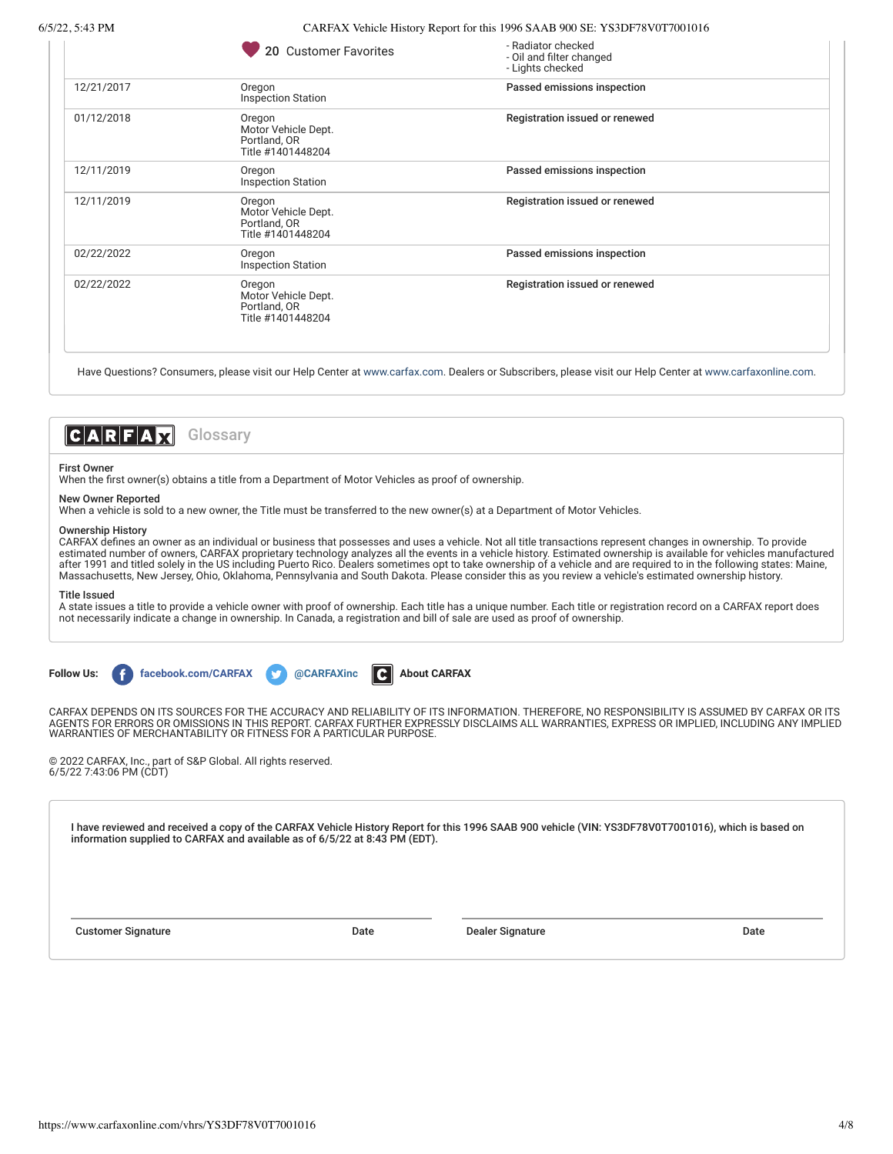|  | 20 Customer Favorites |  |
|--|-----------------------|--|

| 20 Customer Favorites                                              | - Radiator checked<br>- Oil and filter changed<br>- Lights checked |  |
|--------------------------------------------------------------------|--------------------------------------------------------------------|--|
| Oregon<br><b>Inspection Station</b>                                | Passed emissions inspection                                        |  |
| Oregon<br>Motor Vehicle Dept.<br>Portland, OR<br>Title #1401448204 | Registration issued or renewed                                     |  |
| Oregon<br><b>Inspection Station</b>                                | Passed emissions inspection                                        |  |
| Oregon<br>Motor Vehicle Dept.<br>Portland, OR<br>Title #1401448204 | Registration issued or renewed                                     |  |
| Oregon<br><b>Inspection Station</b>                                | Passed emissions inspection                                        |  |
| Oregon<br>Motor Vehicle Dept.<br>Portland, OR<br>Title #1401448204 | Registration issued or renewed                                     |  |
|                                                                    |                                                                    |  |

Have Questions? Consumers, please visit our Help Center at [www.carfax.com](http://www.carfax.com/help). Dealers or Subscribers, please visit our Help Center at [www.carfaxonline.com.](http://www.carfaxonline.com/)



#### First Owner

When the first owner(s) obtains a title from a Department of Motor Vehicles as proof of ownership.

### New Owner Reported

When a vehicle is sold to a new owner, the Title must be transferred to the new owner(s) at a Department of Motor Vehicles.

### Ownership History

CARFAX defines an owner as an individual or business that possesses and uses a vehicle. Not all title transactions represent changes in ownership. To provide estimated number of owners, CARFAX proprietary technology analyzes all the events in a vehicle history. Estimated ownership is available for vehicles manufactured after 1991 and titled solely in the US including Puerto Rico. Dealers sometimes opt to take ownership of a vehicle and are required to in the following states: Maine, Massachusetts, New Jersey, Ohio, Oklahoma, Pennsylvania and South Dakota. Please consider this as you review a vehicle's estimated ownership history.

### Title Issued

A state issues a title to provide a vehicle owner with proof of ownership. Each title has a unique number. Each title or registration record on a CARFAX report does not necessarily indicate a change in ownership. In Canada, a registration and bill of sale are used as proof of ownership.

**Follow Lines facebook.com/CARFAX and CARFAXinc [About CARFAX](http://www.carfax.com/company/about)** 

CARFAX DEPENDS ON ITS SOURCES FOR THE ACCURACY AND RELIABILITY OF ITS INFORMATION. THEREFORE, NO RESPONSIBILITY IS ASSUMED BY CARFAX OR ITS AGENTS FOR ERRORS OR OMISSIONS IN THIS REPORT. CARFAX FURTHER EXPRESSLY DISCLAIMS ALL WARRANTIES, EXPRESS OR IMPLIED, INCLUDING ANY IMPLIED WARRANTIES OF MERCHANTABILITY OR FITNESS FOR A PARTICULAR PURPOSE.

© 2022 CARFAX, Inc., part of S&P Global. All rights reserved. 6/5/22 7:43:06 PM (CDT)

I have reviewed and received a copy of the CARFAX Vehicle History Report for this 1996 SAAB 900 vehicle (VIN: YS3DF78V0T7001016), which is based on information supplied to CARFAX and available as of 6/5/22 at 8:43 PM (EDT).

Customer Signature **Date** Date Date Dealer Signature Dealer Signature Date Date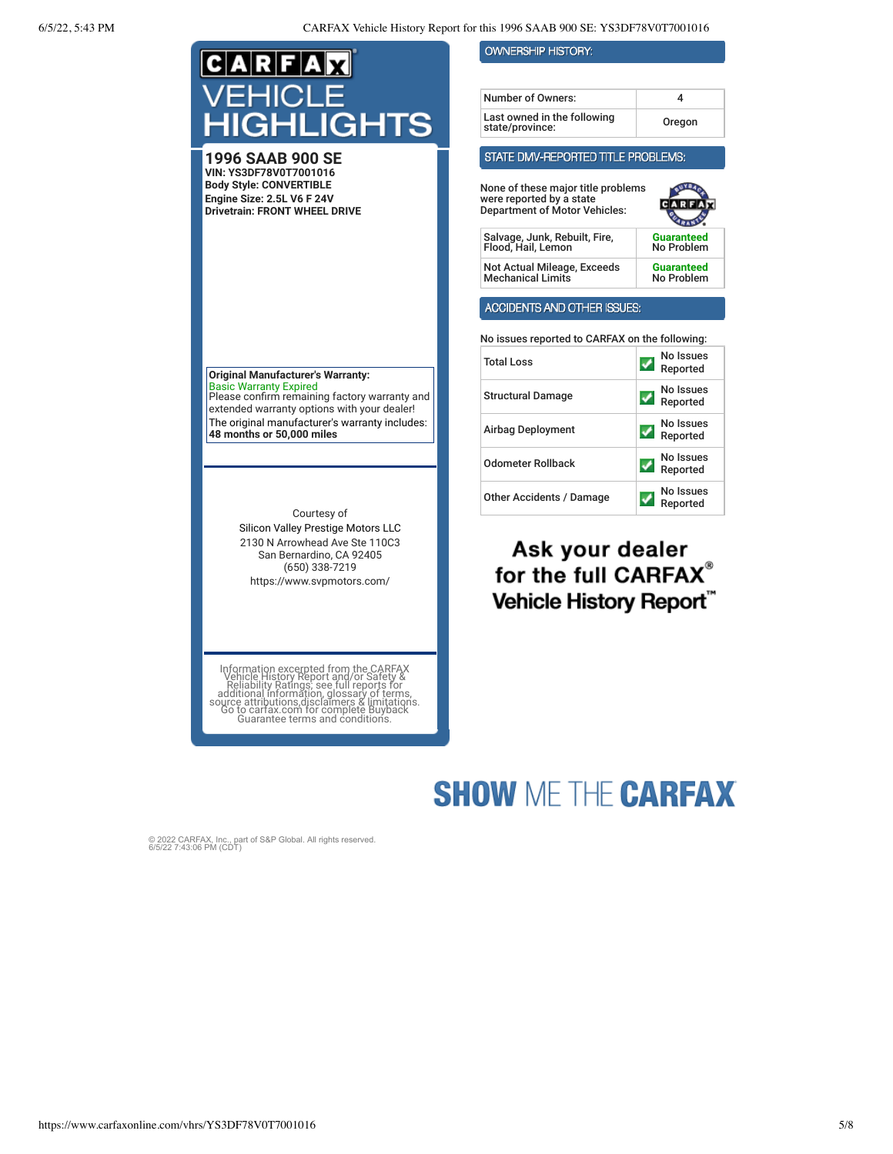| C A R F A X                                                                                                                    | <b>OWNERSHIP HISTORY:</b>                                                                              |                                 |
|--------------------------------------------------------------------------------------------------------------------------------|--------------------------------------------------------------------------------------------------------|---------------------------------|
| VEHICLE                                                                                                                        | Number of Owners:<br>Last owned in the following                                                       | 4                               |
| HIGHLIGHTS                                                                                                                     | state/province:                                                                                        | Oregon                          |
| 1996 SAAB 900 SE                                                                                                               | STATE DMV-REPORTED TITLE PROBLEMS:                                                                     |                                 |
| VIN: YS3DF78V0T7001016<br><b>Body Style: CONVERTIBLE</b><br>Engine Size: 2.5L V6 F 24V<br><b>Drivetrain: FRONT WHEEL DRIVE</b> | None of these major title problems<br>were reported by a state<br><b>Department of Motor Vehicles:</b> |                                 |
|                                                                                                                                | Salvage, Junk, Rebuilt, Fire,<br>Flood, Hail, Lemon                                                    | Guaranteed<br>No Problem        |
|                                                                                                                                | Not Actual Mileage, Exceeds<br><b>Mechanical Limits</b>                                                | <b>Guaranteed</b><br>No Problem |
|                                                                                                                                | <b>ACCIDENTS AND OTHER ISSUES:</b>                                                                     |                                 |
|                                                                                                                                | No issues reported to CARFAX on the following:                                                         |                                 |
| <b>Original Manufacturer's Warranty:</b>                                                                                       | Total Loss                                                                                             | No Issues<br>Reported           |
| <b>Basic Warranty Expired</b><br>Please confirm remaining factory warranty and<br>extended warranty options with your dealer!  | <b>Structural Damage</b>                                                                               | No Issues<br>✔<br>Reported      |
| The original manufacturer's warranty includes:<br>48 months or 50,000 miles                                                    | <b>Airbag Deployment</b>                                                                               | No Issues<br>Reported           |
|                                                                                                                                | <b>Odometer Rollback</b>                                                                               | No Issues<br>✔<br>Reported      |
|                                                                                                                                | <b>Other Accidents / Damage</b>                                                                        | No Issues<br>Reported           |
| Courtesy of<br>Silicon Valley Prestige Motors LLC<br>2130 N Arrowhead Ave Ste 110C3<br>San Bernardino, CA 92405                | Ask your dealer                                                                                        |                                 |

## for the full CARFAX® Vehicle History Report"

Information excepted from the CARFAX<br>Vehicle History Report and/or Safety &<br>Reliability Ratings, see full reports for<br>additional information, glossary of terms,<br>source attributions,disclaimers & limitations.<br>Co to cartax.c

(650) 338-7219 https://www.svpmotors.com/

# **SHOW ME THE CARFAX**

© 2022 CARFAX, Inc., part of S&P Global. All rights reserved. 6/5/22 7:43:06 PM (CDT)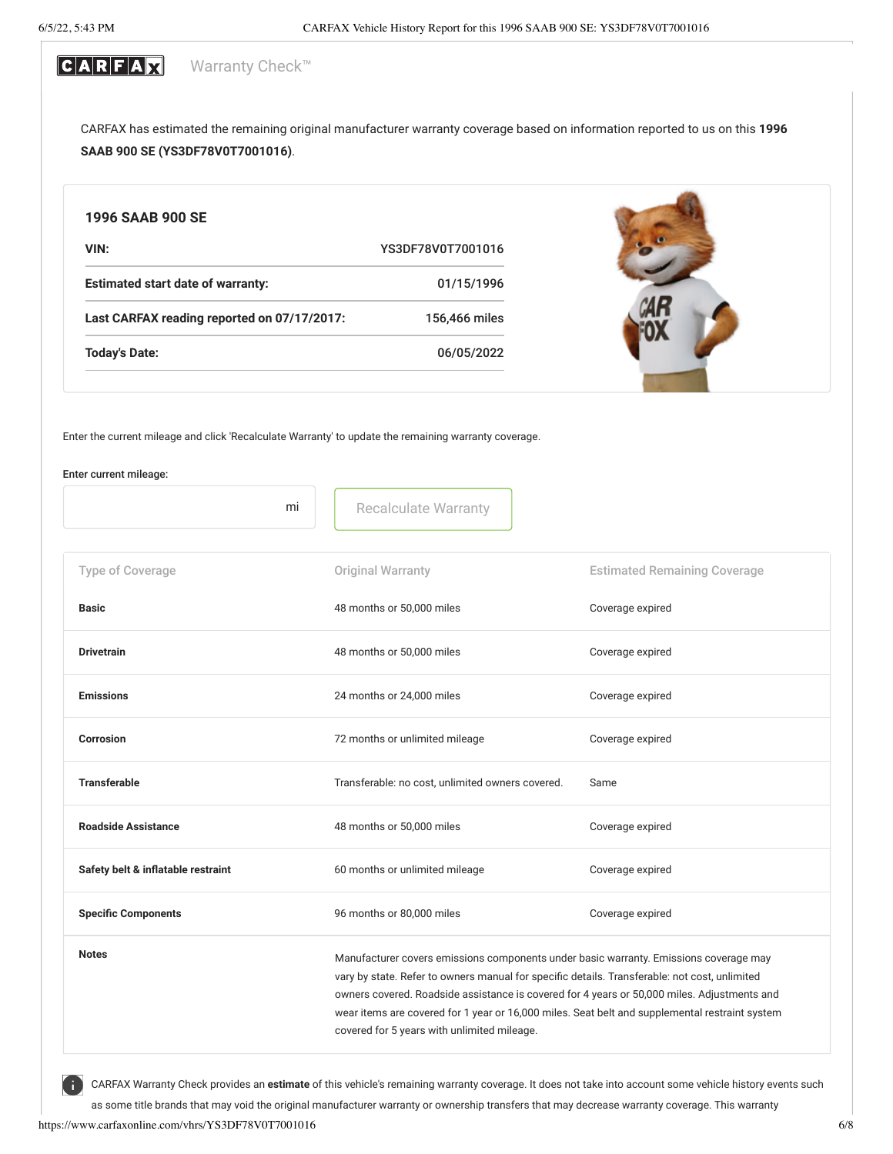### CARFAX Warranty Check™

CARFAX has estimated the remaining original manufacturer warranty coverage based on information reported to us on this **1996 SAAB 900 SE (YS3DF78V0T7001016)**.

| 1996 SAAB 900 SE                            |                   |  |
|---------------------------------------------|-------------------|--|
| VIN:                                        | YS3DF78V0T7001016 |  |
| <b>Estimated start date of warranty:</b>    | 01/15/1996        |  |
| Last CARFAX reading reported on 07/17/2017: | 156,466 miles     |  |
| <b>Today's Date:</b>                        | 06/05/2022        |  |

Enter the current mileage and click 'Recalculate Warranty' to update the remaining warranty coverage.

### Enter current mileage:

| mi                                 | <b>Recalculate Warranty</b>                                                                                                                                                                                                                                                                                                                                                                                                            |                                     |
|------------------------------------|----------------------------------------------------------------------------------------------------------------------------------------------------------------------------------------------------------------------------------------------------------------------------------------------------------------------------------------------------------------------------------------------------------------------------------------|-------------------------------------|
| Type of Coverage                   | Original Warranty                                                                                                                                                                                                                                                                                                                                                                                                                      | <b>Estimated Remaining Coverage</b> |
| <b>Basic</b>                       | 48 months or 50,000 miles                                                                                                                                                                                                                                                                                                                                                                                                              | Coverage expired                    |
| <b>Drivetrain</b>                  | 48 months or 50,000 miles                                                                                                                                                                                                                                                                                                                                                                                                              | Coverage expired                    |
| <b>Emissions</b>                   | 24 months or 24,000 miles                                                                                                                                                                                                                                                                                                                                                                                                              | Coverage expired                    |
| Corrosion                          | 72 months or unlimited mileage                                                                                                                                                                                                                                                                                                                                                                                                         | Coverage expired                    |
| <b>Transferable</b>                | Transferable: no cost, unlimited owners covered.                                                                                                                                                                                                                                                                                                                                                                                       | Same                                |
| <b>Roadside Assistance</b>         | 48 months or 50,000 miles                                                                                                                                                                                                                                                                                                                                                                                                              | Coverage expired                    |
| Safety belt & inflatable restraint | 60 months or unlimited mileage                                                                                                                                                                                                                                                                                                                                                                                                         | Coverage expired                    |
| <b>Specific Components</b>         | 96 months or 80,000 miles                                                                                                                                                                                                                                                                                                                                                                                                              | Coverage expired                    |
| <b>Notes</b>                       | Manufacturer covers emissions components under basic warranty. Emissions coverage may<br>vary by state. Refer to owners manual for specific details. Transferable: not cost, unlimited<br>owners covered. Roadside assistance is covered for 4 years or 50,000 miles. Adjustments and<br>wear items are covered for 1 year or 16,000 miles. Seat belt and supplemental restraint system<br>covered for 5 years with unlimited mileage. |                                     |

CARFAX Warranty Check provides an **estimate** of this vehicle's remaining warranty coverage. It does not take into account some vehicle history events such

as some title brands that may void the original manufacturer warranty or ownership transfers that may decrease warranty coverage. This warranty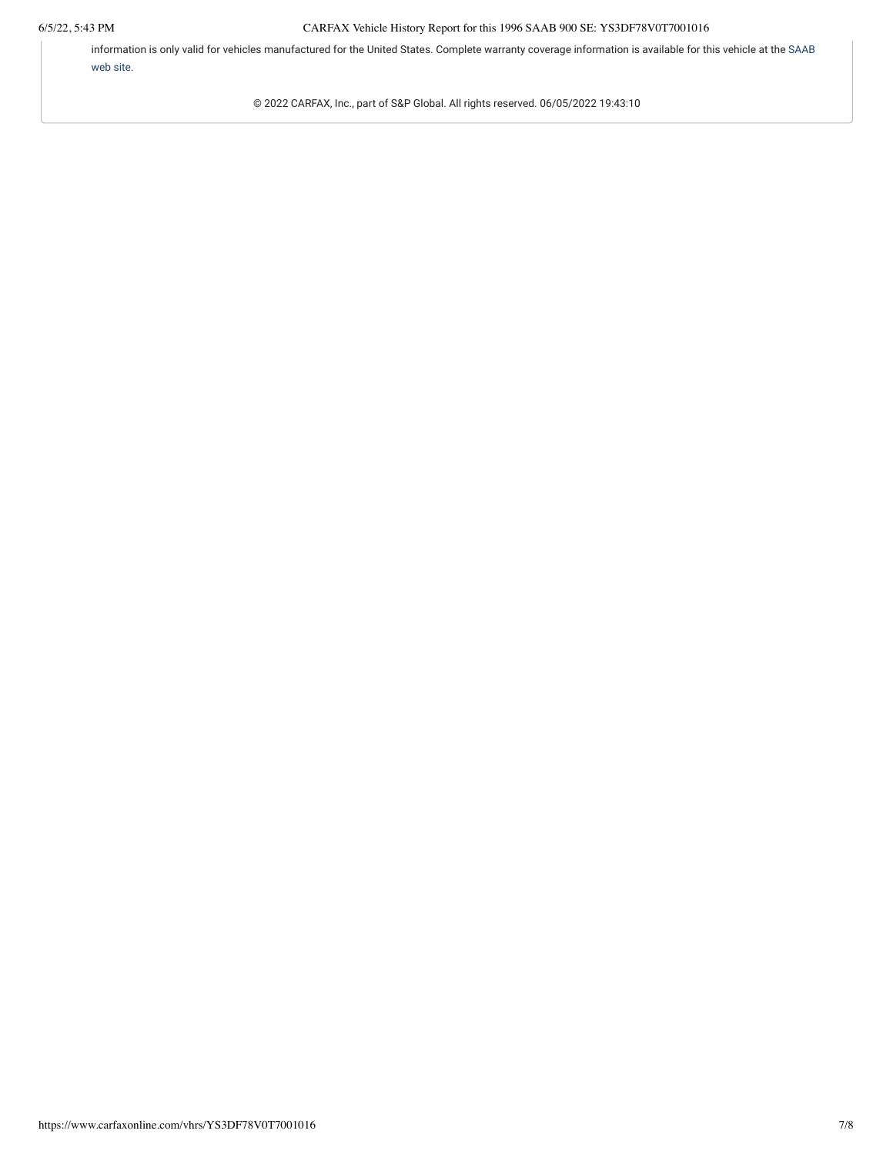information is only valid for vehicles manufactured for the United States. [Complete warranty coverage information is available for this vehicle at the](http://www.saabusa.com/) SAAB web site.

© 2022 CARFAX, Inc., part of S&P Global. All rights reserved. 06/05/2022 19:43:10